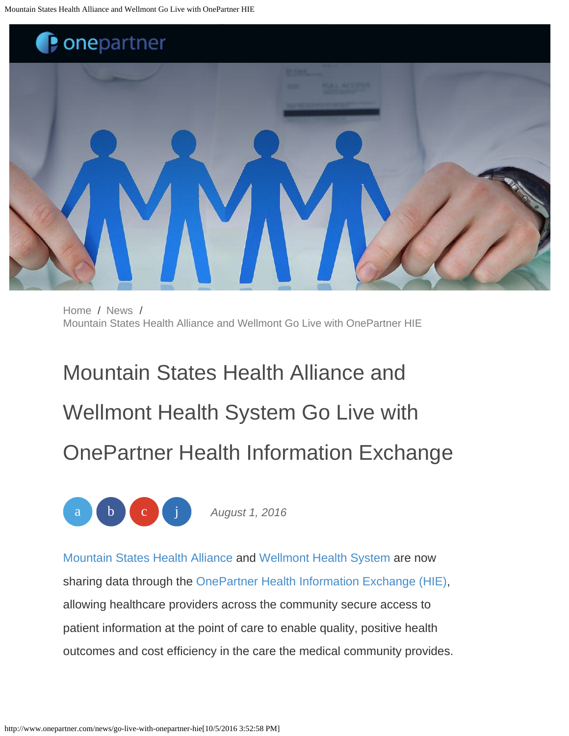<span id="page-0-0"></span>

[Home](http://www.onepartner.com/) / [News](http://www.onepartner.com/news) / [Mountain States Health Alliance and Wellmont Go Live with OnePartner HIE](#page-0-0)

Mountain States Health Alliance and Wellmont Health System Go Live with OnePartner Health Information Exchange



*August 1, 2016*

[Mountain States Health Alliance](http://www.msha.com/) and [Wellmont Health System](http://www.wellmont.org/) are now sharing data through the [OnePartner Health Information Exchange \(HIE\)](http://www.onepartner.com/hie), allowing healthcare providers across the community secure access to patient information at the point of care to enable quality, positive health outcomes and cost efficiency in the care the medical community provides.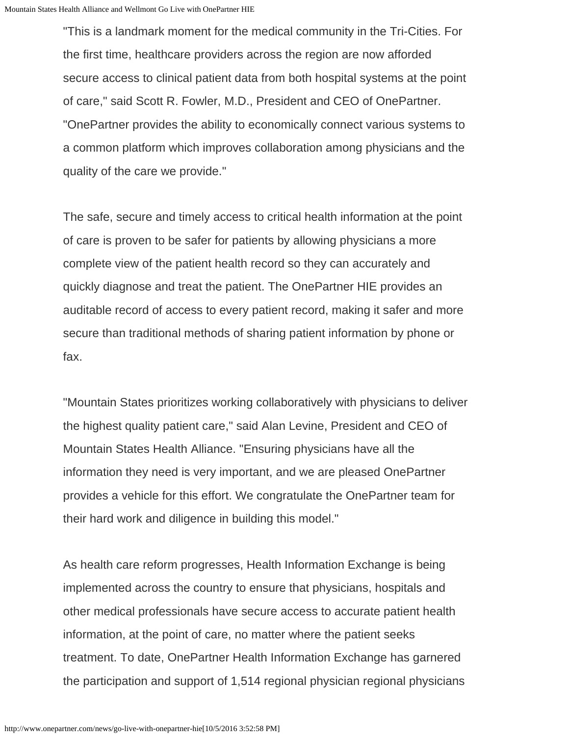"This is a landmark moment for the medical community in the Tri-Cities. For the first time, healthcare providers across the region are now afforded secure access to clinical patient data from both hospital systems at the point of care," said Scott R. Fowler, M.D., President and CEO of OnePartner. "OnePartner provides the ability to economically connect various systems to a common platform which improves collaboration among physicians and the quality of the care we provide."

The safe, secure and timely access to critical health information at the point of care is proven to be safer for patients by allowing physicians a more complete view of the patient health record so they can accurately and quickly diagnose and treat the patient. The OnePartner HIE provides an auditable record of access to every patient record, making it safer and more secure than traditional methods of sharing patient information by phone or fax.

"Mountain States prioritizes working collaboratively with physicians to deliver the highest quality patient care," said Alan Levine, President and CEO of Mountain States Health Alliance. "Ensuring physicians have all the information they need is very important, and we are pleased OnePartner provides a vehicle for this effort. We congratulate the OnePartner team for their hard work and diligence in building this model."

As health care reform progresses, Health Information Exchange is being implemented across the country to ensure that physicians, hospitals and other medical professionals have secure access to accurate patient health information, at the point of care, no matter where the patient seeks treatment. To date, OnePartner Health Information Exchange has garnered the participation and support of 1,514 regional physician regional physicians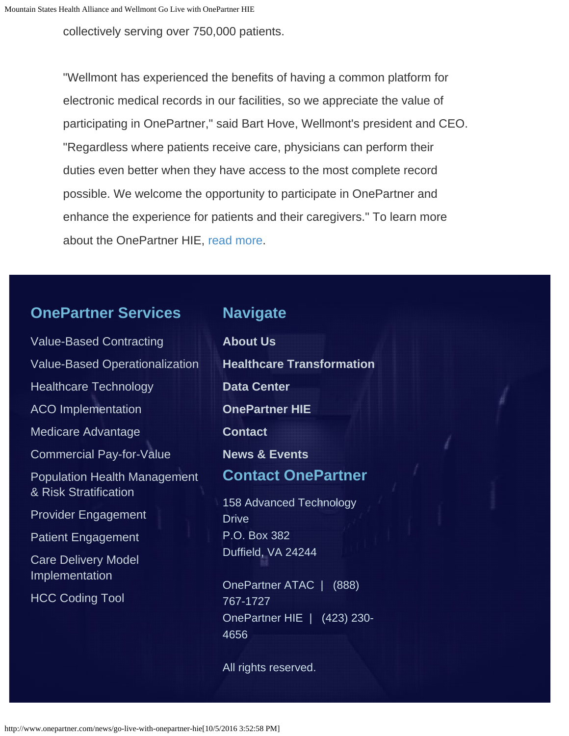collectively serving over 750,000 patients.

"Wellmont has experienced the benefits of having a common platform for electronic medical records in our facilities, so we appreciate the value of participating in OnePartner," said Bart Hove, Wellmont's president and CEO. "Regardless where patients receive care, physicians can perform their duties even better when they have access to the most complete record possible. We welcome the opportunity to participate in OnePartner and enhance the experience for patients and their caregivers." To learn more about the OnePartner HIE, [read more.](http://www.onepartner.com/hie)

## **OnePartner Services**

## **Navigate**

[Value-Based Contracting](http://www.onepartner.com/value-based-contracting) [Value-Based Operationalization](http://www.onepartner.com/value-based-contracting) [Healthcare Technology](http://www.onepartner.com/value-based-contracting) [ACO Implementation](http://www.onepartner.com/aco-implementation) [Medicare Advantage](http://www.onepartner.com/medicare-advantage) [Commercial Pay-for-Value](http://www.onepartner.com/news/commercial-pay-for-value) [Population Health Management](http://www.onepartner.com/value-based-operationalization/population-health-management-risk-stratification) [& Risk Stratification](http://www.onepartner.com/value-based-operationalization/population-health-management-risk-stratification) [Provider Engagement](http://www.onepartner.com/provider-engagement) [Patient Engagement](http://www.onepartner.com/patient-engagement/) [Care Delivery Model](http://www.onepartner.com/care-delivery-model-implementation) [Implementation](http://www.onepartner.com/care-delivery-model-implementation) [HCC Coding Tool](http://www.onepartner.com/hcc-coding-tool)

**[About Us](http://www.onepartner.com/about) [Healthcare Transformation](http://www.onepartner.com/healthcare-transformation) [Data Center](http://www.onepartner.com/news/data-center) [OnePartner HIE](http://www.onepartner.com/hie) [Contact](http://www.onepartner.com/contact) [News & Events](http://www.onepartner.com/news) Contact OnePartner** 158 Advanced Technology **Drive** P.O. Box 382 Duffield, VA 24244

OnePartner ATAC | (888) 767-1727 OnePartner HIE | (423) 230- 4656

All rights reserved.